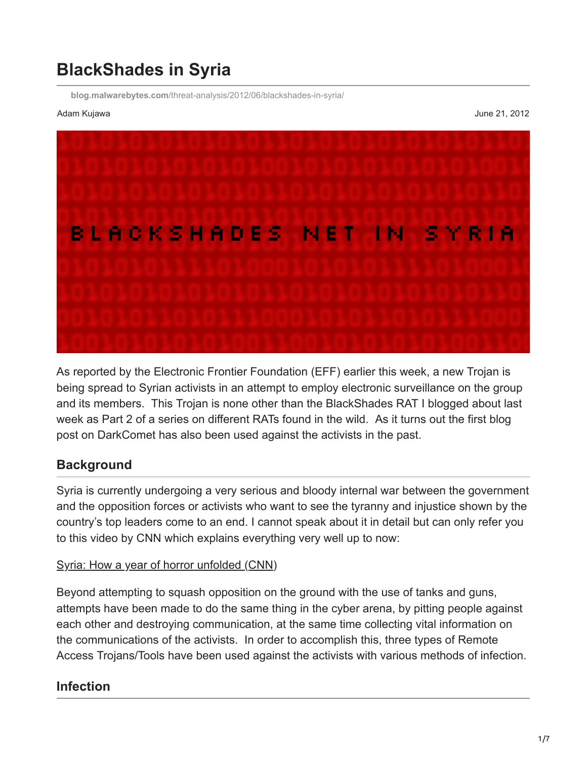# **BlackShades in Syria**

**blog.malwarebytes.com**[/threat-analysis/2012/06/blackshades-in-syria/](https://blog.malwarebytes.com/threat-analysis/2012/06/blackshades-in-syria/)

Adam Kujawa June 21, 2012



As reported by the Electronic Frontier Foundation (EFF) earlier this week, a new Trojan is being spread to Syrian activists in an attempt to employ electronic surveillance on the group and its members. This Trojan is none other than the BlackShades RAT I blogged about last week as Part 2 of a series on different RATs found in the wild. As it turns out the first blog post on DarkComet has also been used against the activists in the past.

## **Background**

Syria is currently undergoing a very serious and bloody internal war between the government and the opposition forces or activists who want to see the tyranny and injustice shown by the country's top leaders come to an end. I cannot speak about it in detail but can only refer you to this video by CNN which explains everything very well up to now:

#### [Syria: How a year of horror unfolded \(CNN\)](http://edition.cnn.com/video/#/video/world/2012/03/15/robertson-syria-1-yr-of-violence.cnn)

Beyond attempting to squash opposition on the ground with the use of tanks and guns, attempts have been made to do the same thing in the cyber arena, by pitting people against each other and destroying communication, at the same time collecting vital information on the communications of the activists. In order to accomplish this, three types of Remote Access Trojans/Tools have been used against the activists with various methods of infection.

#### **Infection**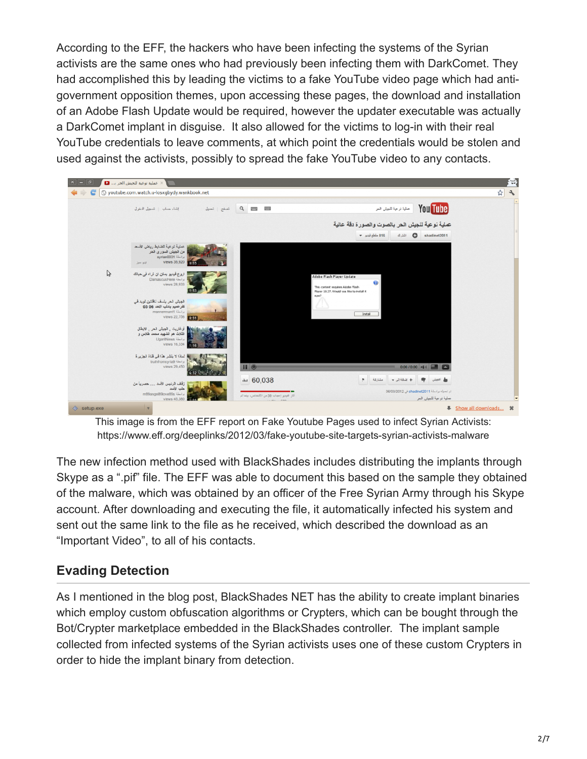According to the EFF, the hackers who have been infecting the systems of the Syrian activists are the same ones who had previously been infecting them with DarkComet. They had accomplished this by leading the victims to a fake YouTube video page which had antigovernment opposition themes, upon accessing these pages, the download and installation of an Adobe Flash Update would be required, however the updater executable was actually a DarkComet implant in disguise. It also allowed for the victims to log-in with their real YouTube credentials to leave comments, at which point the credentials would be stolen and used against the activists, possibly to spread the fake YouTube video to any contacts.



This image is from the EFF report on Fake Youtube Pages used to infect Syrian Activists: https://www.eff.org/deeplinks/2012/03/fake-youtube-site-targets-syrian-activists-malware

The new infection method used with BlackShades includes distributing the implants through Skype as a ".pif" file. The EFF was able to document this based on the sample they obtained of the malware, which was obtained by an officer of the Free Syrian Army through his Skype account. After downloading and executing the file, it automatically infected his system and sent out the same link to the file as he received, which described the download as an "Important Video", to all of his contacts.

# **Evading Detection**

As I mentioned in the blog post, BlackShades NET has the ability to create implant binaries which employ custom obfuscation algorithms or Crypters, which can be bought through the Bot/Crypter marketplace embedded in the BlackShades controller. The implant sample collected from infected systems of the Syrian activists uses one of these custom Crypters in order to hide the implant binary from detection.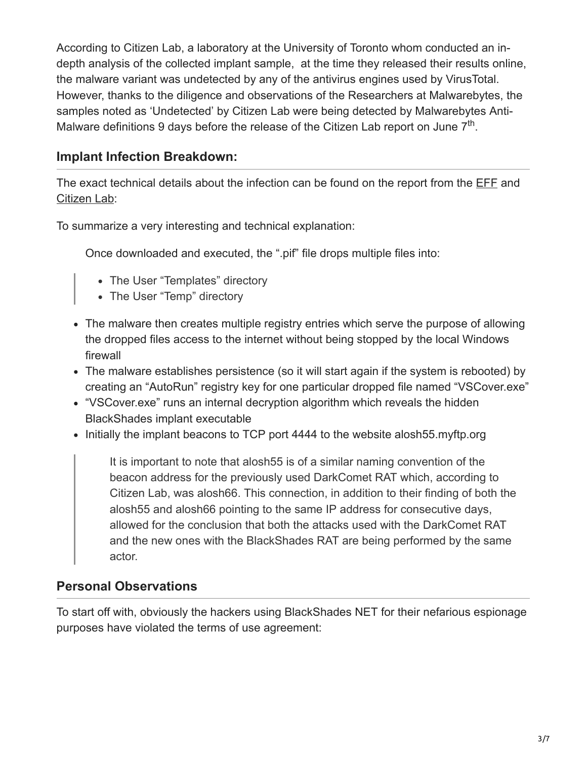According to Citizen Lab, a laboratory at the University of Toronto whom conducted an indepth analysis of the collected implant sample, at the time they released their results online, the malware variant was undetected by any of the antivirus engines used by VirusTotal. However, thanks to the diligence and observations of the Researchers at Malwarebytes, the samples noted as 'Undetected' by Citizen Lab were being detected by Malwarebytes Anti-Malware definitions 9 days before the release of the Citizen Lab report on June  $7<sup>th</sup>$ .

# **Implant Infection Breakdown:**

The exact technical details about the infection can be found on the report from the [EFF](https://www.eff.org/deeplinks/2012/06/darkshades-rat-and-syrian-malware) and [Citizen Lab](https://citizenlab.org/2012/06/syrian-activists-targeted-with-blackshades-spy-software/):

To summarize a very interesting and technical explanation:

Once downloaded and executed, the ".pif" file drops multiple files into:

- The User "Templates" directory
- The User "Temp" directory
- The malware then creates multiple registry entries which serve the purpose of allowing the dropped files access to the internet without being stopped by the local Windows firewall
- The malware establishes persistence (so it will start again if the system is rebooted) by creating an "AutoRun" registry key for one particular dropped file named "VSCover.exe"
- "VSCover.exe" runs an internal decryption algorithm which reveals the hidden BlackShades implant executable
- Initially the implant beacons to TCP port 4444 to the website alosh55.myftp.org

It is important to note that alosh55 is of a similar naming convention of the beacon address for the previously used DarkComet RAT which, according to Citizen Lab, was alosh66. This connection, in addition to their finding of both the alosh55 and alosh66 pointing to the same IP address for consecutive days, allowed for the conclusion that both the attacks used with the DarkComet RAT and the new ones with the BlackShades RAT are being performed by the same actor.

# **Personal Observations**

To start off with, obviously the hackers using BlackShades NET for their nefarious espionage purposes have violated the terms of use agreement: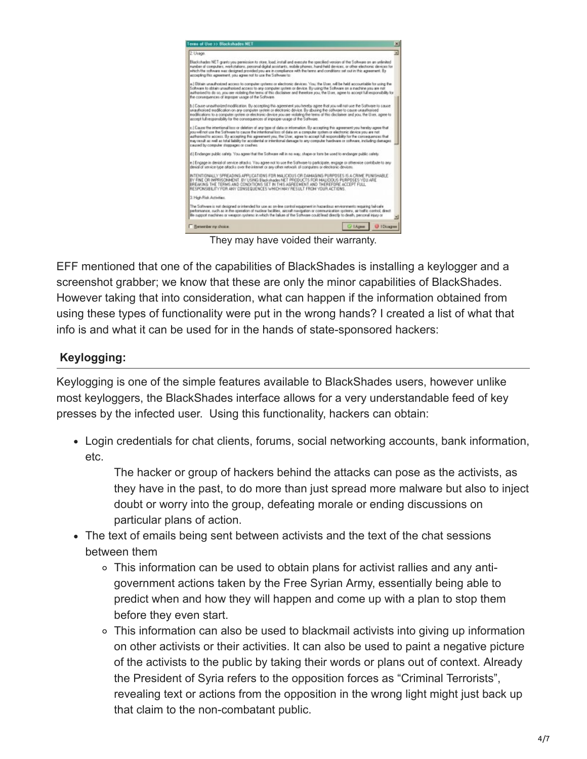

They may have voided their warranty.

EFF mentioned that one of the capabilities of BlackShades is installing a keylogger and a screenshot grabber; we know that these are only the minor capabilities of BlackShades. However taking that into consideration, what can happen if the information obtained from using these types of functionality were put in the wrong hands? I created a list of what that info is and what it can be used for in the hands of state-sponsored hackers:

## **Keylogging:**

Keylogging is one of the simple features available to BlackShades users, however unlike most keyloggers, the BlackShades interface allows for a very understandable feed of key presses by the infected user. Using this functionality, hackers can obtain:

Login credentials for chat clients, forums, social networking accounts, bank information, etc.

The hacker or group of hackers behind the attacks can pose as the activists, as they have in the past, to do more than just spread more malware but also to inject doubt or worry into the group, defeating morale or ending discussions on particular plans of action.

- The text of emails being sent between activists and the text of the chat sessions between them
	- This information can be used to obtain plans for activist rallies and any antigovernment actions taken by the Free Syrian Army, essentially being able to predict when and how they will happen and come up with a plan to stop them before they even start.
	- This information can also be used to blackmail activists into giving up information on other activists or their activities. It can also be used to paint a negative picture of the activists to the public by taking their words or plans out of context. Already the President of Syria refers to the opposition forces as "Criminal Terrorists", revealing text or actions from the opposition in the wrong light might just back up that claim to the non-combatant public.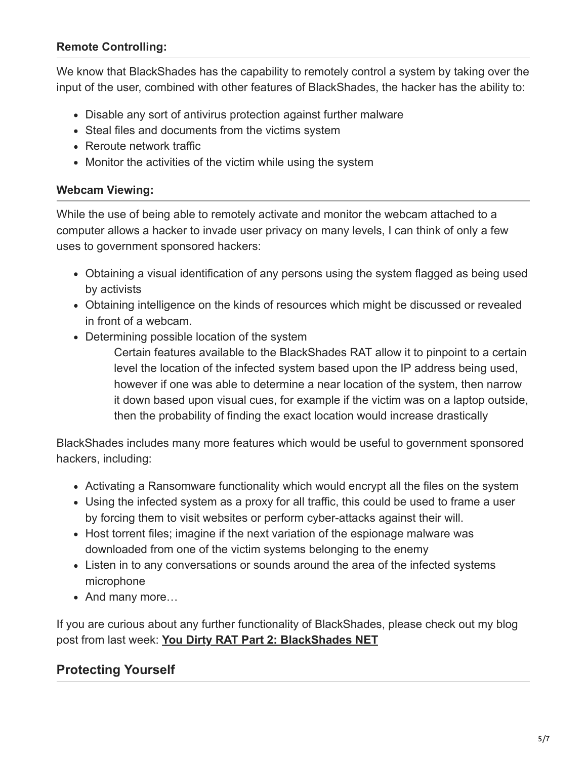#### **Remote Controlling:**

We know that BlackShades has the capability to remotely control a system by taking over the input of the user, combined with other features of BlackShades, the hacker has the ability to:

- Disable any sort of antivirus protection against further malware
- Steal files and documents from the victims system
- Reroute network traffic
- Monitor the activities of the victim while using the system

#### **Webcam Viewing:**

While the use of being able to remotely activate and monitor the webcam attached to a computer allows a hacker to invade user privacy on many levels, I can think of only a few uses to government sponsored hackers:

- Obtaining a visual identification of any persons using the system flagged as being used by activists
- Obtaining intelligence on the kinds of resources which might be discussed or revealed in front of a webcam.
- Determining possible location of the system

Certain features available to the BlackShades RAT allow it to pinpoint to a certain level the location of the infected system based upon the IP address being used, however if one was able to determine a near location of the system, then narrow it down based upon visual cues, for example if the victim was on a laptop outside, then the probability of finding the exact location would increase drastically

BlackShades includes many more features which would be useful to government sponsored hackers, including:

- Activating a Ransomware functionality which would encrypt all the files on the system
- Using the infected system as a proxy for all traffic, this could be used to frame a user by forcing them to visit websites or perform cyber-attacks against their will.
- Host torrent files; imagine if the next variation of the espionage malware was downloaded from one of the victim systems belonging to the enemy
- Listen in to any conversations or sounds around the area of the infected systems microphone
- And many more...

If you are curious about any further functionality of BlackShades, please check out my blog post from last week: **[You Dirty RAT Part 2: BlackShades NET](http://blog.malwarebytes.org/intelligence/2012/06/you-dirty-rat-part-2-blackshades-net/)**

## **Protecting Yourself**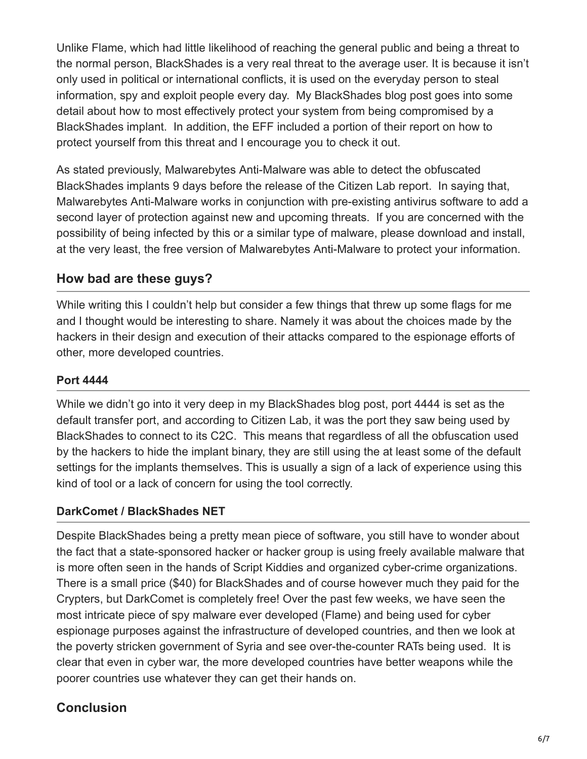Unlike Flame, which had little likelihood of reaching the general public and being a threat to the normal person, BlackShades is a very real threat to the average user. It is because it isn't only used in political or international conflicts, it is used on the everyday person to steal information, spy and exploit people every day. My BlackShades blog post goes into some detail about how to most effectively protect your system from being compromised by a BlackShades implant. In addition, the EFF included a portion of their report on how to protect yourself from this threat and I encourage you to check it out.

As stated previously, Malwarebytes Anti-Malware was able to detect the obfuscated BlackShades implants 9 days before the release of the Citizen Lab report. In saying that, Malwarebytes Anti-Malware works in conjunction with pre-existing antivirus software to add a second layer of protection against new and upcoming threats. If you are concerned with the possibility of being infected by this or a similar type of malware, please download and install, at the very least, the free version of Malwarebytes Anti-Malware to protect your information.

#### **How bad are these guys?**

While writing this I couldn't help but consider a few things that threw up some flags for me and I thought would be interesting to share. Namely it was about the choices made by the hackers in their design and execution of their attacks compared to the espionage efforts of other, more developed countries.

#### **Port 4444**

While we didn't go into it very deep in my BlackShades blog post, port 4444 is set as the default transfer port, and according to Citizen Lab, it was the port they saw being used by BlackShades to connect to its C2C. This means that regardless of all the obfuscation used by the hackers to hide the implant binary, they are still using the at least some of the default settings for the implants themselves. This is usually a sign of a lack of experience using this kind of tool or a lack of concern for using the tool correctly.

#### **DarkComet / BlackShades NET**

Despite BlackShades being a pretty mean piece of software, you still have to wonder about the fact that a state-sponsored hacker or hacker group is using freely available malware that is more often seen in the hands of Script Kiddies and organized cyber-crime organizations. There is a small price (\$40) for BlackShades and of course however much they paid for the Crypters, but DarkComet is completely free! Over the past few weeks, we have seen the most intricate piece of spy malware ever developed (Flame) and being used for cyber espionage purposes against the infrastructure of developed countries, and then we look at the poverty stricken government of Syria and see over-the-counter RATs being used. It is clear that even in cyber war, the more developed countries have better weapons while the poorer countries use whatever they can get their hands on.

## **Conclusion**